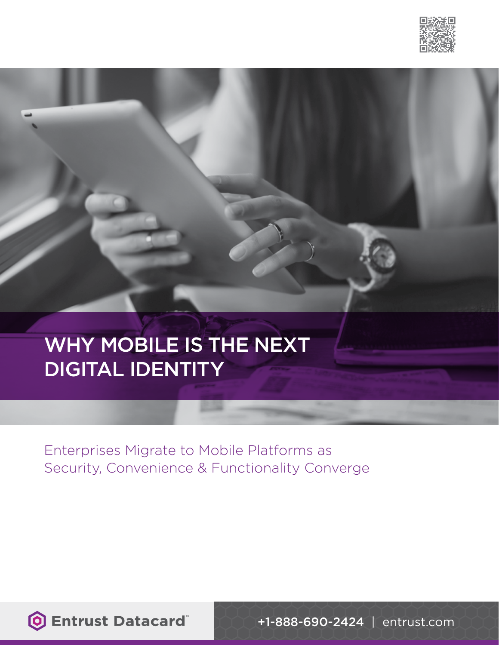

# WHY MOBILE IS THE NEXT DIGITAL IDENTITY

Enterprises Migrate to Mobile Platforms as Security, Convenience & Functionality Converge

**O Entrust Datacard** 

+1-888-690-2424 | [entrust.com](http://www.entrust.com)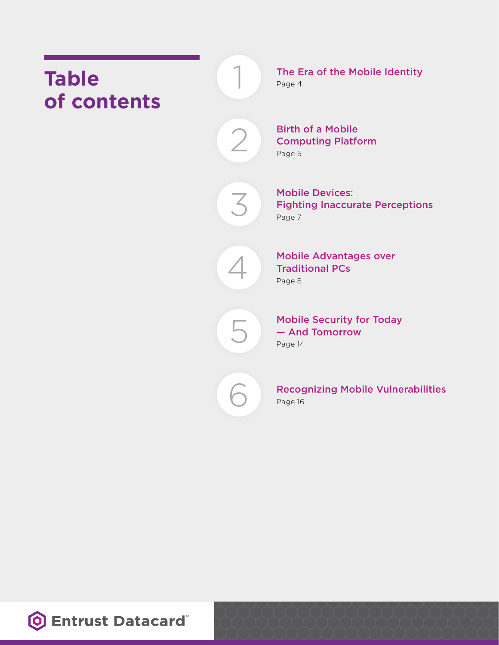# **Table of contents**

The Era of the Mobile Identity Page 4

Birth of a Mobile Computing Platform

Page 5

2

1

3

Mobile Devices: Fighting Inaccurate Perceptions Page 7



Mobile Advantages over Traditional PCs Page 8



Mobile Security for Today — And Tomorrow Page 14



Recognizing Mobile Vulnerabilities Page 16

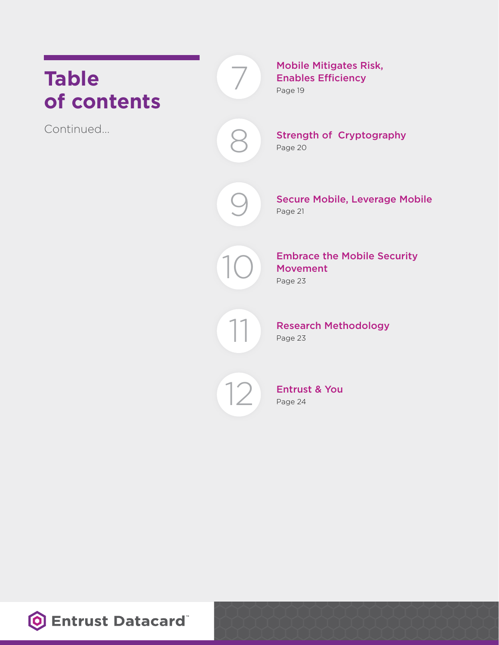### $\overline{ }$ **Table of contents** Continued…

Mobile Mitigates Risk, Enables Efficiency Page 19

Strength of Cryptography

Page 20

8

 $\bigcirc$ 

Secure Mobile, Leverage Mobile Page 21

11<br>12<br>12<br>12

Embrace the Mobile Security Movement Page 23

Research Methodology Page 23

12

Entrust & You Page 24

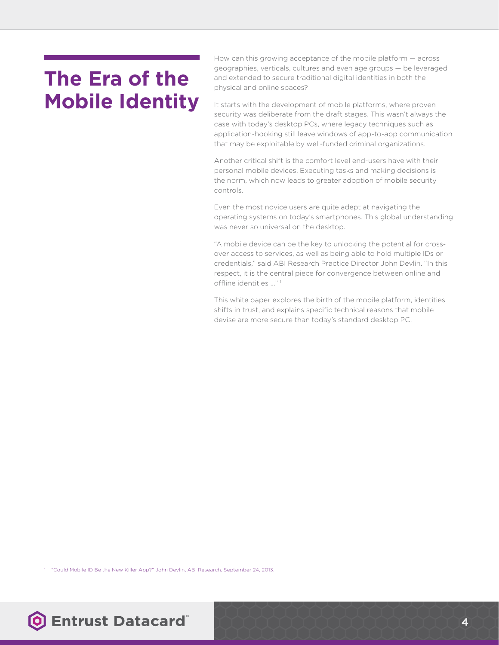# **The Era of the Mobile Identity**

How can this growing acceptance of the mobile platform — across geographies, verticals, cultures and even age groups — be leveraged and extended to secure traditional digital identities in both the physical and online spaces?

It starts with the development of mobile platforms, where proven security was deliberate from the draft stages. This wasn't always the case with today's desktop PCs, where legacy techniques such as application-hooking still leave windows of app-to-app communication that may be exploitable by well-funded criminal organizations.

Another critical shift is the comfort level end-users have with their personal mobile devices. Executing tasks and making decisions is the norm, which now leads to greater adoption of mobile security controls.

Even the most novice users are quite adept at navigating the operating systems on today's smartphones. This global understanding was never so universal on the desktop.

"A mobile device can be the key to unlocking the potential for crossover access to services, as well as being able to hold multiple IDs or credentials," said ABI Research Practice Director John Devlin. "In this respect, it is the central piece for convergence between online and offline identities ..." 1

This white paper explores the birth of the mobile platform, identities shifts in trust, and explains specific technical reasons that mobile devise are more secure than today's standard desktop PC.

1 "Could Mobile ID Be the New Killer App?" John Devlin, ABI Research, September 24, 2013.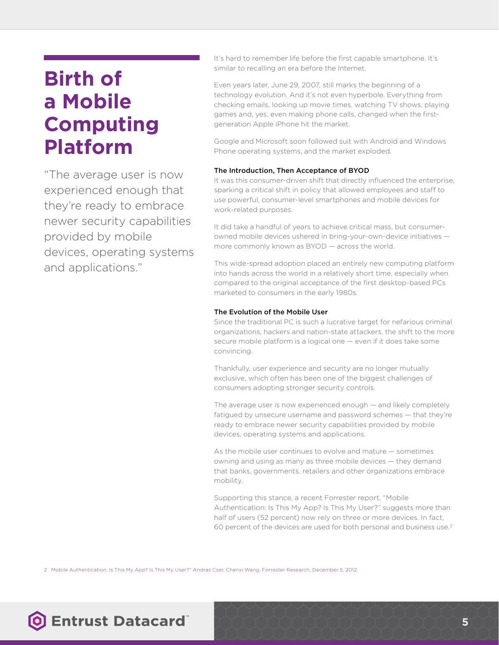# **Birth of a Mobile Computing Platform**

"The average user is now experienced enough that they're ready to embrace newer security capabilities provided by mobile devices, operating systems and applications."

It's hard to remember life before the first capable smartphone. It's similar to recalling an era before the Internet.

Even years later, June 29, 2007, still marks the beginning of a technology evolution. And it's not even hyperbole. Everything from checking emails, looking up movie times, watching TV shows, playing games and, yes, even making phone calls, changed when the firstgeneration Apple iPhone hit the market.

Google and Microsoft soon followed suit with Android and Windows Phone operating systems, and the market exploded.

#### The Introduction, Then Acceptance of BYOD

It was this consumer-driven shift that directly influenced the enterprise, sparking a critical shift in policy that allowed employees and staff to use powerful, consumer-level smartphones and mobile devices for work-related purposes.

It did take a handful of years to achieve critical mass, but consumerowned mobile devices ushered in bring-your-own-device initiatives more commonly known as BYOD — across the world.

This wide-spread adoption placed an entirely new computing platform into hands across the world in a relatively short time, especially when compared to the original acceptance of the first desktop-based PCs marketed to consumers in the early 1980s.

#### The Evolution of the Mobile User

Since the traditional PC is such a lucrative target for nefarious criminal organizations, hackers and nation-state attackers, the shift to the more secure mobile platform is a logical one — even if it does take some convincing.

Thankfully, user experience and security are no longer mutually exclusive, which often has been one of the biggest challenges of consumers adopting stronger security controls.

The average user is now experienced enough — and likely completely fatigued by unsecure username and password schemes — that they're ready to embrace newer security capabilities provided by mobile devices, operating systems and applications.

As the mobile user continues to evolve and mature — sometimes owning and using as many as three mobile devices — they demand that banks, governments, retailers and other organizations embrace mobility.

Supporting this stance, a recent Forrester report, "Mobile Authentication: Is This My App? Is This My User?" suggests more than half of users (52 percent) now rely on three or more devices. In fact, 60 percent of the devices are used for both personal and business use.2

2 Mobile Authentication: Is This My App? Is This My User?" Andras Cser, Chenxi Wang, Forrester Research, December 5, 2012.

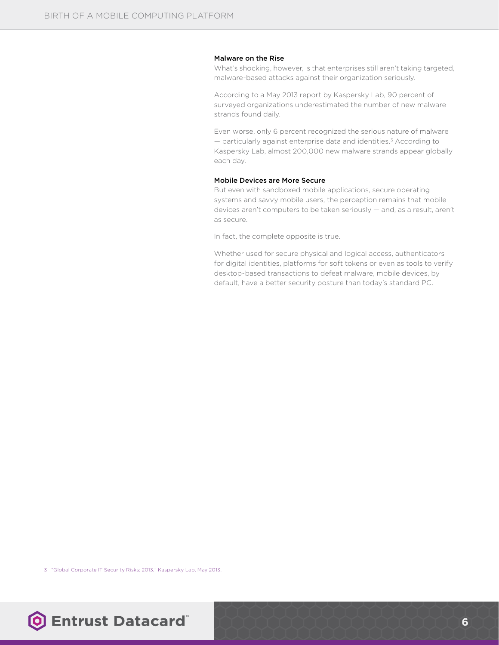#### Malware on the Rise

What's shocking, however, is that enterprises still aren't taking targeted, malware-based attacks against their organization seriously.

According to a May 2013 report by Kaspersky Lab, 90 percent of surveyed organizations underestimated the number of new malware strands found daily.

Even worse, only 6 percent recognized the serious nature of malware  $-$  particularly against enterprise data and identities.<sup>3</sup> According to Kaspersky Lab, almost 200,000 new malware strands appear globally each day.

#### Mobile Devices are More Secure

But even with sandboxed mobile applications, secure operating systems and savvy mobile users, the perception remains that mobile devices aren't computers to be taken seriously — and, as a result, aren't as secure.

In fact, the complete opposite is true.

Whether used for secure physical and logical access, authenticators for digital identities, platforms for soft tokens or even as tools to verify desktop-based transactions to defeat malware, mobile devices, by default, have a better security posture than today's standard PC.

3 "Global Corporate IT Security Risks: 2013," Kaspersky Lab, May 2013.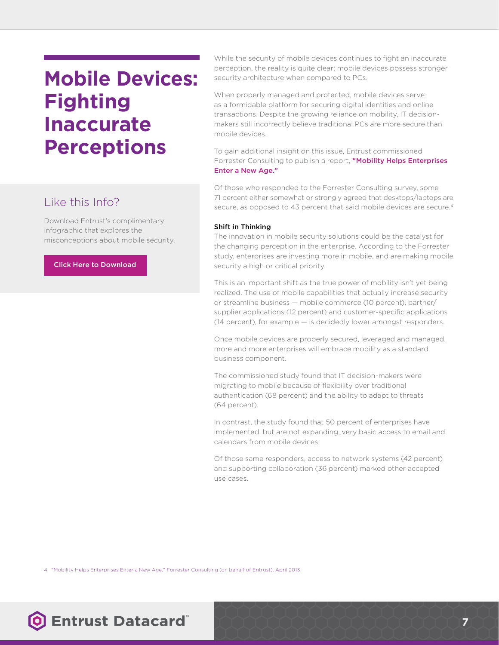### **Mobile Devices: Fighting Inaccurate Perceptions**

### Like this Info?

Download Entrust's complimentary infographic that explores the misconceptions about mobile security.

#### Click Here to Download

While the security of mobile devices continues to fight an inaccurate perception, the reality is quite clear: mobile devices possess stronger security architecture when compared to PCs.

When properly managed and protected, mobile devices serve as a formidable platform for securing digital identities and online transactions. Despite the growing reliance on mobility, IT decisionmakers still incorrectly believe traditional PCs are more secure than mobile devices.

To gain additional insight on this issue, Entrust commissioned Forrester Consulting to publish a report, "Mobility Helps Enterprises [Enter a New Age."](http://go.entrust.com/mobile-perceptions)

Of those who responded to the Forrester Consulting survey, some 71 percent either somewhat or strongly agreed that desktops/laptops are secure, as opposed to 43 percent that said mobile devices are secure.<sup>4</sup>

#### Shift in Thinking

The innovation in mobile security solutions could be the catalyst for the changing perception in the enterprise. According to the Forrester study, enterprises are investing more in mobile, and are making mobile security a high or critical priority.

This is an important shift as the true power of mobility isn't yet being realized. The use of mobile capabilities that actually increase security or streamline business — mobile commerce (10 percent), partner/ supplier applications (12 percent) and customer-specific applications (14 percent), for example — is decidedly lower amongst responders.

Once mobile devices are properly secured, leveraged and managed, more and more enterprises will embrace mobility as a standard business component.

The commissioned study found that IT decision-makers were migrating to mobile because of flexibility over traditional authentication (68 percent) and the ability to adapt to threats (64 percent).

In contrast, the study found that 50 percent of enterprises have implemented, but are not expanding, very basic access to email and calendars from mobile devices.

Of those same responders, access to network systems (42 percent) and supporting collaboration (36 percent) marked other accepted use cases.

4 "Mobility Helps Enterprises Enter a New Age," Forrester Consulting (on behalf of Entrust), April 2013.

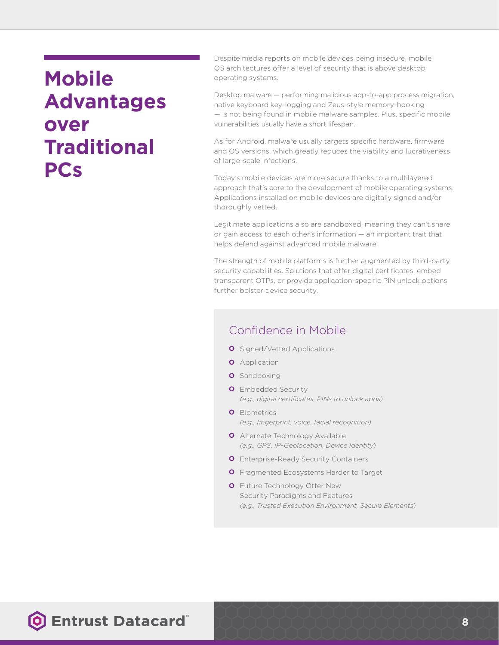### **Mobile Advantages over Traditional PCs**

Despite media reports on mobile devices being insecure, mobile OS architectures offer a level of security that is above desktop operating systems.

Desktop malware — performing malicious app-to-app process migration, native keyboard key-logging and Zeus-style memory-hooking — is not being found in mobile malware samples. Plus, specific mobile vulnerabilities usually have a short lifespan.

As for Android, malware usually targets specific hardware, firmware and OS versions, which greatly reduces the viability and lucrativeness of large-scale infections.

Today's mobile devices are more secure thanks to a multilayered approach that's core to the development of mobile operating systems. Applications installed on mobile devices are digitally signed and/or thoroughly vetted.

Legitimate applications also are sandboxed, meaning they can't share or gain access to each other's information — an important trait that helps defend against advanced mobile malware.

The strength of mobile platforms is further augmented by third-party security capabilities. Solutions that offer digital certificates, embed transparent OTPs, or provide application-specific PIN unlock options further bolster device security.

### Confidence in Mobile

- **O** Signed/Vetted Applications
- **O** Application
- **O** Sandboxing
- **O** Embedded Security *(e.g., digital certificates, PINs to unlock apps)*
- **O** Biometrics *(e.g., fingerprint, voice, facial recognition)*
- **O** Alternate Technology Available *(e.g., GPS, IP-Geolocation, Device Identity)*
- **O** Enterprise-Ready Security Containers
- **O** Fragmented Ecosystems Harder to Target
- **O** Future Technology Offer New Security Paradigms and Features *(e.g., Trusted Execution Environment, Secure Elements)*

### **O Entrust Datacard**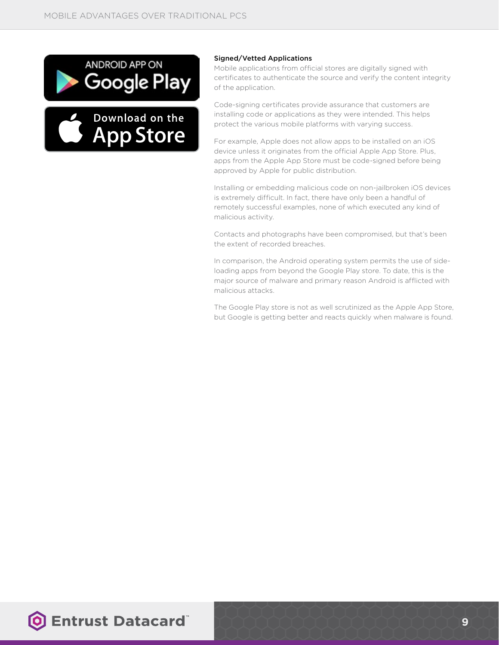

Download on the

**App Store** 



Mobile applications from official stores are digitally signed with certificates to authenticate the source and verify the content integrity of the application.

Code-signing certificates provide assurance that customers are installing code or applications as they were intended. This helps protect the various mobile platforms with varying success.

For example, Apple does not allow apps to be installed on an iOS device unless it originates from the official Apple App Store. Plus, apps from the Apple App Store must be code-signed before being approved by Apple for public distribution.

Installing or embedding malicious code on non-jailbroken iOS devices is extremely difficult. In fact, there have only been a handful of remotely successful examples, none of which executed any kind of malicious activity.

Contacts and photographs have been compromised, but that's been the extent of recorded breaches.

In comparison, the Android operating system permits the use of sideloading apps from beyond the Google Play store. To date, this is the major source of malware and primary reason Android is afflicted with malicious attacks.

The Google Play store is not as well scrutinized as the Apple App Store, but Google is getting better and reacts quickly when malware is found.

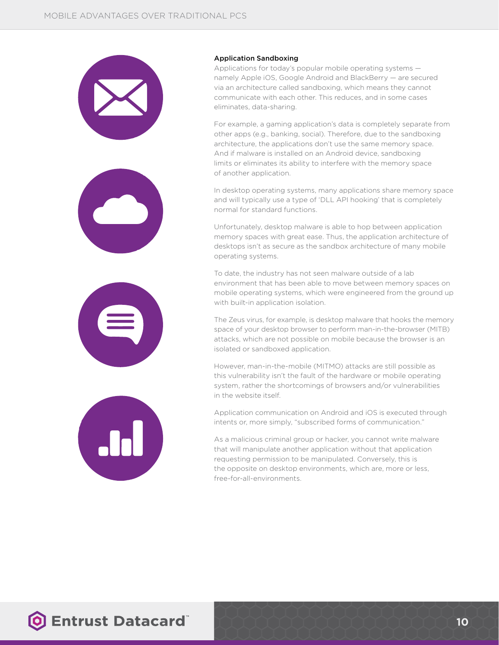





#### Application Sandboxing

Applications for today's popular mobile operating systems namely Apple iOS, Google Android and BlackBerry — are secured via an architecture called sandboxing, which means they cannot communicate with each other. This reduces, and in some cases eliminates, data-sharing.

For example, a gaming application's data is completely separate from other apps (e.g., banking, social). Therefore, due to the sandboxing architecture, the applications don't use the same memory space. And if malware is installed on an Android device, sandboxing limits or eliminates its ability to interfere with the memory space of another application.

In desktop operating systems, many applications share memory space and will typically use a type of 'DLL API hooking' that is completely normal for standard functions.

Unfortunately, desktop malware is able to hop between application memory spaces with great ease. Thus, the application architecture of desktops isn't as secure as the sandbox architecture of many mobile operating systems.

To date, the industry has not seen malware outside of a lab environment that has been able to move between memory spaces on mobile operating systems, which were engineered from the ground up with built-in application isolation.

The Zeus virus, for example, is desktop malware that hooks the memory space of your desktop browser to perform man-in-the-browser (MITB) attacks, which are not possible on mobile because the browser is an isolated or sandboxed application.

However, man-in-the-mobile (MITMO) attacks are still possible as this vulnerability isn't the fault of the hardware or mobile operating system, rather the shortcomings of browsers and/or vulnerabilities in the website itself.

Application communication on Android and iOS is executed through intents or, more simply, "subscribed forms of communication."

As a malicious criminal group or hacker, you cannot write malware that will manipulate another application without that application requesting permission to be manipulated. Conversely, this is the opposite on desktop environments, which are, more or less, free-for-all-environments.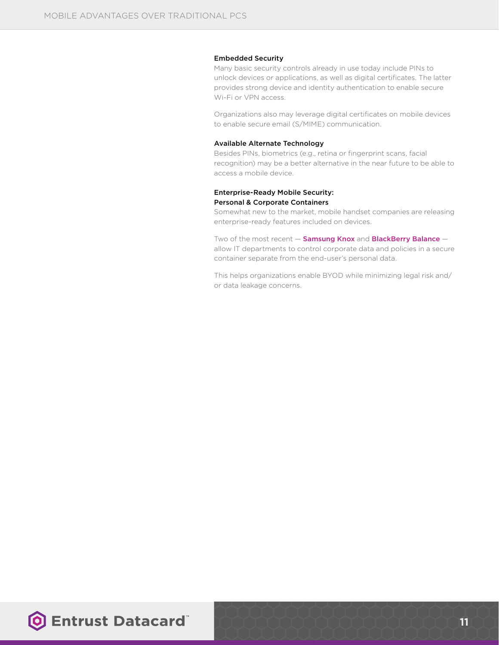#### Embedded Security

Many basic security controls already in use today include PINs to unlock devices or applications, as well as digital certificates. The latter provides strong device and identity authentication to enable secure Wi-Fi or VPN access.

Organizations also may leverage digital certificates on mobile devices to enable secure email (S/MIME) communication.

#### Available Alternate Technology

Besides PINs, biometrics (e.g., retina or fingerprint scans, facial recognition) may be a better alternative in the near future to be able to access a mobile device.

#### Enterprise-Ready Mobile Security: Personal & Corporate Containers

Somewhat new to the market, mobile handset companies are releasing enterprise-ready features included on devices.

Two of the most recent  $-$  [Samsung Knox](https://www.samsung.com/global/business/mobile/solution/security/samsung-knox) and [BlackBerry Balance](http://us.blackberry.com/business/software/blackberry-balance.html%3Flpos%3Dus:bb:search:Business%26lid%3Dus:bb:search:Business:BlackBerry-Balance-Technology%23tab-1)  $$ allow IT departments to control corporate data and policies in a secure container separate from the end-user's personal data.

This helps organizations enable BYOD while minimizing legal risk and/ or data leakage concerns.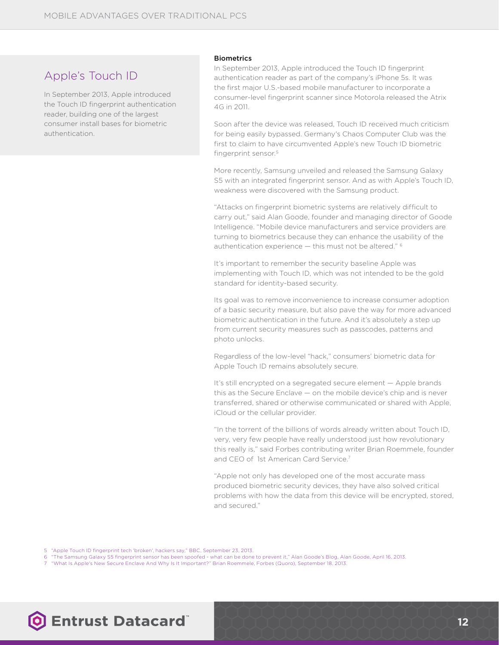### Apple's Touch ID

In September 2013, Apple introduced the Touch ID fingerprint authentication reader, building one of the largest consumer install bases for biometric authentication.

#### **Biometrics**

In September 2013, Apple introduced the Touch ID fingerprint authentication reader as part of the company's iPhone 5s. It was the first major U.S.-based mobile manufacturer to incorporate a consumer-level fingerprint scanner since Motorola released the Atrix 4G in 2011.

Soon after the device was released, Touch ID received much criticism for being easily bypassed. Germany's Chaos Computer Club was the first to claim to have circumvented Apple's new Touch ID biometric fingerprint sensor.<sup>5</sup>

More recently, Samsung unveiled and released the Samsung Galaxy S5 with an integrated fingerprint sensor. And as with Apple's Touch ID, weakness were discovered with the Samsung product.

"Attacks on fingerprint biometric systems are relatively difficult to carry out," said Alan Goode, founder and managing director of Goode Intelligence. "Mobile device manufacturers and service providers are turning to biometrics because they can enhance the usability of the authentication experience — this must not be altered." 6

It's important to remember the security baseline Apple was implementing with Touch ID, which was not intended to be the gold standard for identity-based security.

Its goal was to remove inconvenience to increase consumer adoption of a basic security measure, but also pave the way for more advanced biometric authentication in the future. And it's absolutely a step up from current security measures such as passcodes, patterns and photo unlocks.

Regardless of the low-level "hack," consumers' biometric data for Apple Touch ID remains absolutely secure.

It's still encrypted on a segregated secure element — Apple brands this as the Secure Enclave — on the mobile device's chip and is never transferred, shared or otherwise communicated or shared with Apple, iCloud or the cellular provider.

"In the torrent of the billions of words already written about Touch ID, very, very few people have really understood just how revolutionary this really is," said Forbes contributing writer Brian Roemmele, founder and CEO of 1st American Card Service.7

"Apple not only has developed one of the most accurate mass produced biometric security devices, they have also solved critical problems with how the data from this device will be encrypted, stored, and secured."

5 "Apple Touch ID fingerprint tech 'broken', hackers say," BBC, September 23, 2013.

- 6 "The Samsung Galaxy S5 fingerprint sensor has been spoofed what can be done to prevent it," Alan Goode's Blog, Alan Goode, April 16, 2013.
- 7 "What Is Apple's New Secure Enclave And Why Is It Important?" Brian Roemmele, Forbes (Quoro), September 18, 2013.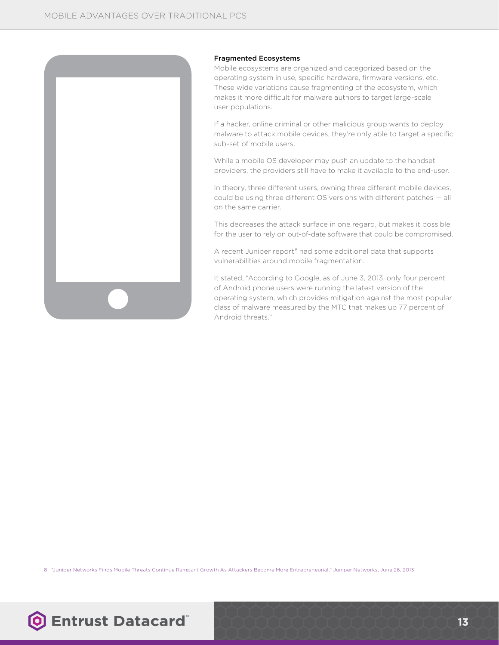

#### Fragmented Ecosystems

Mobile ecosystems are organized and categorized based on the operating system in use, specific hardware, firmware versions, etc. These wide variations cause fragmenting of the ecosystem, which makes it more difficult for malware authors to target large-scale user populations.

If a hacker, online criminal or other malicious group wants to deploy malware to attack mobile devices, they're only able to target a specific sub-set of mobile users.

While a mobile OS developer may push an update to the handset providers, the providers still have to make it available to the end-user.

In theory, three different users, owning three different mobile devices, could be using three different OS versions with different patches — all on the same carrier.

This decreases the attack surface in one regard, but makes it possible for the user to rely on out-of-date software that could be compromised.

A recent Juniper report<sup>8</sup> had some additional data that supports vulnerabilities around mobile fragmentation.

It stated, "According to Google, as of June 3, 2013, only four percent of Android phone users were running the latest version of the operating system, which provides mitigation against the most popular class of malware measured by the MTC that makes up 77 percent of Android threats."

8 "Juniper Networks Finds Mobile Threats Continue Rampant Growth As Attackers Become More Entrepreneurial," Juniper Networks, June 26, 2013.

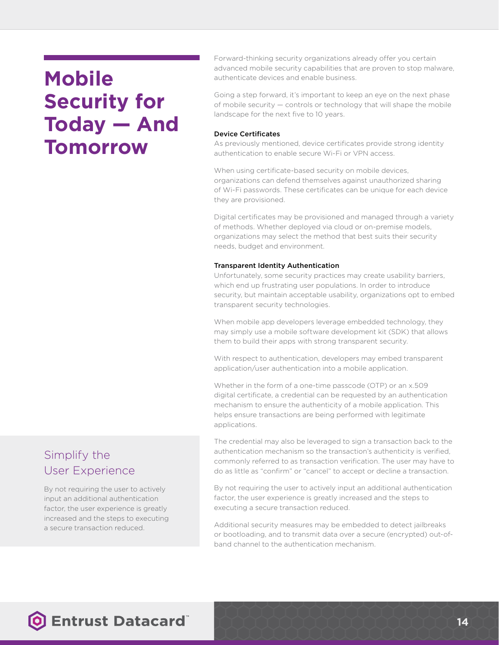### **Mobile Security for Today — And Tomorrow**

Forward-thinking security organizations already offer you certain advanced mobile security capabilities that are proven to stop malware, authenticate devices and enable business.

Going a step forward, it's important to keep an eye on the next phase of mobile security — controls or technology that will shape the mobile landscape for the next five to 10 years.

#### Device Certificates

As previously mentioned, device certificates provide strong identity authentication to enable secure Wi-Fi or VPN access.

When using certificate-based security on mobile devices, organizations can defend themselves against unauthorized sharing of Wi-Fi passwords. These certificates can be unique for each device they are provisioned.

Digital certificates may be provisioned and managed through a variety of methods. Whether deployed via cloud or on-premise models, organizations may select the method that best suits their security needs, budget and environment.

#### Transparent Identity Authentication

Unfortunately, some security practices may create usability barriers, which end up frustrating user populations. In order to introduce security, but maintain acceptable usability, organizations opt to embed transparent security technologies.

When mobile app developers leverage embedded technology, they may simply use a mobile software development kit (SDK) that allows them to build their apps with strong transparent security.

With respect to authentication, developers may embed transparent application/user authentication into a mobile application.

Whether in the form of a one-time passcode (OTP) or an x.509 digital certificate, a credential can be requested by an authentication mechanism to ensure the authenticity of a mobile application. This helps ensure transactions are being performed with legitimate applications.

The credential may also be leveraged to sign a transaction back to the authentication mechanism so the transaction's authenticity is verified, commonly referred to as transaction verification. The user may have to do as little as "confirm" or "cancel" to accept or decline a transaction.

By not requiring the user to actively input an additional authentication factor, the user experience is greatly increased and the steps to executing a secure transaction reduced.

Additional security measures may be embedded to detect jailbreaks or bootloading, and to transmit data over a secure (encrypted) out-ofband channel to the authentication mechanism.

### Simplify the User Experience

By not requiring the user to actively input an additional authentication factor, the user experience is greatly increased and the steps to executing a secure transaction reduced.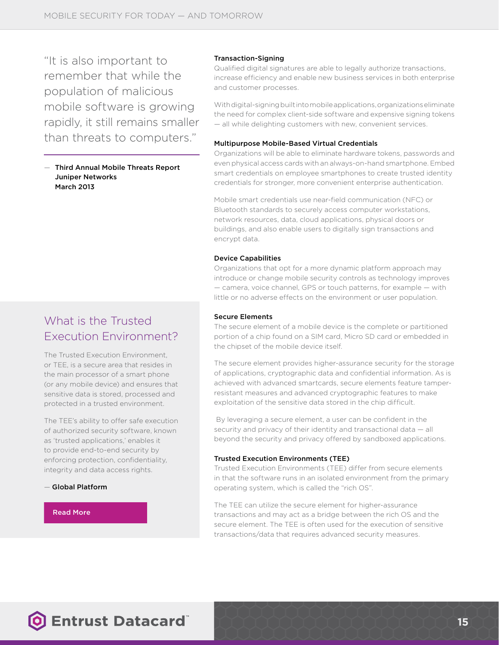"It is also important to remember that while the population of malicious mobile software is growing rapidly, it still remains smaller than threats to computers."

— Third Annual Mobile Threats Report Juniper Networks March 2013

### What is the Trusted Execution Environment?

The Trusted Execution Environment, or TEE, is a secure area that resides in the main processor of a smart phone (or any mobile device) and ensures that sensitive data is stored, processed and protected in a trusted environment.

The TEE's ability to offer safe execution of authorized security software, known as 'trusted applications,' enables it to provide end-to-end security by enforcing protection, confidentiality, integrity and data access rights.

#### — Global Platform

#### Read More

#### Transaction-Signing

Qualified digital signatures are able to legally authorize transactions, increase efficiency and enable new business services in both enterprise and customer processes.

With digital-signing built into mobile applications, organizations eliminate the need for complex client-side software and expensive signing tokens — all while delighting customers with new, convenient services.

#### Multipurpose Mobile-Based Virtual Credentials

Organizations will be able to eliminate hardware tokens, passwords and even physical access cards with an always-on-hand smartphone. Embed smart credentials on employee smartphones to create trusted identity credentials for stronger, more convenient enterprise authentication.

Mobile smart credentials use near-field communication (NFC) or Bluetooth standards to securely access computer workstations, network resources, data, cloud applications, physical doors or buildings, and also enable users to digitally sign transactions and encrypt data.

#### Device Capabilities

Organizations that opt for a more dynamic platform approach may introduce or change mobile security controls as technology improves — camera, voice channel, GPS or touch patterns, for example — with little or no adverse effects on the environment or user population.

#### Secure Elements

The secure element of a mobile device is the complete or partitioned portion of a chip found on a SIM card, Micro SD card or embedded in the chipset of the mobile device itself.

The secure element provides higher-assurance security for the storage of applications, cryptographic data and confidential information. As is achieved with advanced smartcards, secure elements feature tamperresistant measures and advanced cryptographic features to make exploitation of the sensitive data stored in the chip difficult.

 By leveraging a secure element, a user can be confident in the security and privacy of their identity and transactional data — all beyond the security and privacy offered by sandboxed applications.

#### Trusted Execution Environments (TEE)

Trusted Execution Environments (TEE) differ from secure elements in that the software runs in an isolated environment from the primary operating system, which is called the "rich OS".

The TEE can utilize the secure element for higher-assurance transactions and may act as a bridge between the rich OS and the secure element. The TEE is often used for the execution of sensitive transactions/data that requires advanced security measures.

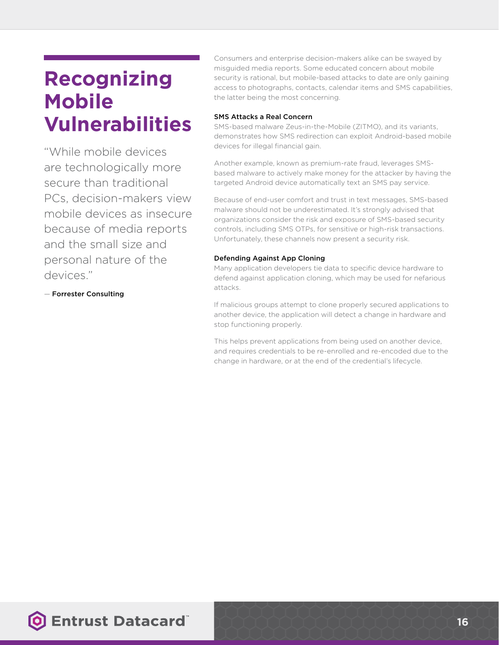### **Recognizing Mobile Vulnerabilities**

"While mobile devices are technologically more secure than traditional PCs, decision-makers view mobile devices as insecure because of media reports and the small size and personal nature of the devices."

— Forrester Consulting

Consumers and enterprise decision-makers alike can be swayed by misguided media reports. Some educated concern about mobile security is rational, but mobile-based attacks to date are only gaining access to photographs, contacts, calendar items and SMS capabilities, the latter being the most concerning.

#### SMS Attacks a Real Concern

SMS-based malware Zeus-in-the-Mobile (ZITMO), and its variants, demonstrates how SMS redirection can exploit Android-based mobile devices for illegal financial gain.

Another example, known as premium-rate fraud, leverages SMSbased malware to actively make money for the attacker by having the targeted Android device automatically text an SMS pay service.

Because of end-user comfort and trust in text messages, SMS-based malware should not be underestimated. It's strongly advised that organizations consider the risk and exposure of SMS-based security controls, including SMS OTPs, for sensitive or high-risk transactions. Unfortunately, these channels now present a security risk.

### Defending Against App Cloning

Many application developers tie data to specific device hardware to defend against application cloning, which may be used for nefarious attacks.

If malicious groups attempt to clone properly secured applications to another device, the application will detect a change in hardware and stop functioning properly.

This helps prevent applications from being used on another device, and requires credentials to be re-enrolled and re-encoded due to the change in hardware, or at the end of the credential's lifecycle.

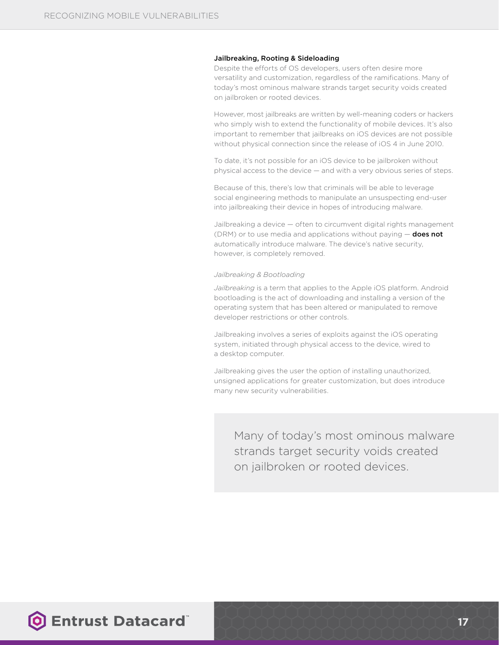#### Jailbreaking, Rooting & Sideloading

Despite the efforts of OS developers, users often desire more versatility and customization, regardless of the ramifications. Many of today's most ominous malware strands target security voids created on jailbroken or rooted devices.

However, most jailbreaks are written by well-meaning coders or hackers who simply wish to extend the functionality of mobile devices. It's also important to remember that jailbreaks on iOS devices are not possible without physical connection since the release of iOS 4 in June 2010.

To date, it's not possible for an iOS device to be jailbroken without physical access to the device — and with a very obvious series of steps.

Because of this, there's low that criminals will be able to leverage social engineering methods to manipulate an unsuspecting end-user into jailbreaking their device in hopes of introducing malware.

Jailbreaking a device — often to circumvent digital rights management (DRM) or to use media and applications without paying  $-$  does not automatically introduce malware. The device's native security, however, is completely removed.

#### *Jailbreaking & Bootloading*

*Jailbreaking* is a term that applies to the Apple iOS platform. Android bootloading is the act of downloading and installing a version of the operating system that has been altered or manipulated to remove developer restrictions or other controls.

Jailbreaking involves a series of exploits against the iOS operating system, initiated through physical access to the device, wired to a desktop computer.

Jailbreaking gives the user the option of installing unauthorized, unsigned applications for greater customization, but does introduce many new security vulnerabilities.

Many of today's most ominous malware strands target security voids created on jailbroken or rooted devices.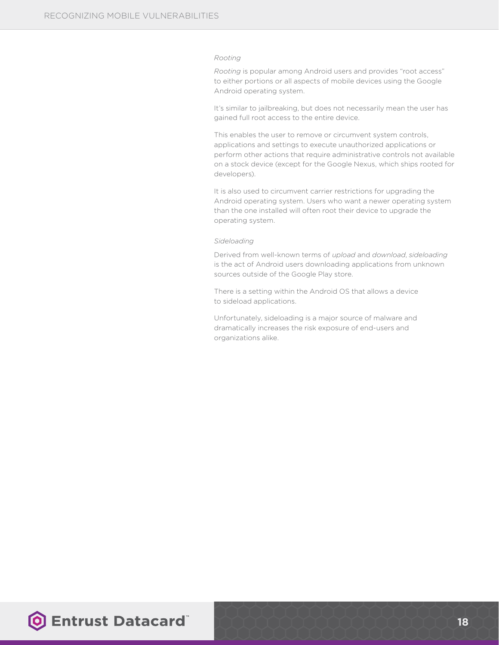#### *Rooting*

*Rooting* is popular among Android users and provides "root access" to either portions or all aspects of mobile devices using the Google Android operating system.

It's similar to jailbreaking, but does not necessarily mean the user has gained full root access to the entire device.

This enables the user to remove or circumvent system controls, applications and settings to execute unauthorized applications or perform other actions that require administrative controls not available on a stock device (except for the Google Nexus, which ships rooted for developers).

It is also used to circumvent carrier restrictions for upgrading the Android operating system. Users who want a newer operating system than the one installed will often root their device to upgrade the operating system.

#### *Sideloading*

Derived from well-known terms of *upload* and *download*, *sideloading* is the act of Android users downloading applications from unknown sources outside of the Google Play store.

There is a setting within the Android OS that allows a device to sideload applications.

Unfortunately, sideloading is a major source of malware and dramatically increases the risk exposure of end-users and organizations alike.

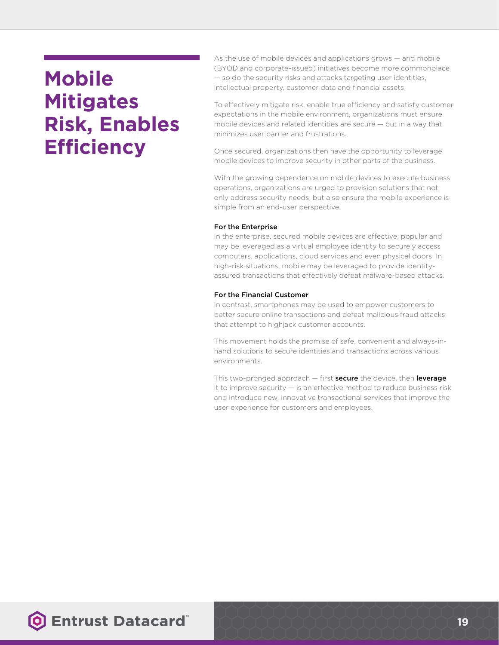### **Mobile Mitigates Risk, Enables Efficiency**

As the use of mobile devices and applications grows — and mobile (BYOD and corporate-issued) initiatives become more commonplace — so do the security risks and attacks targeting user identities, intellectual property, customer data and financial assets.

To effectively mitigate risk, enable true efficiency and satisfy customer expectations in the mobile environment, organizations must ensure mobile devices and related identities are secure — but in a way that minimizes user barrier and frustrations.

Once secured, organizations then have the opportunity to leverage mobile devices to improve security in other parts of the business.

With the growing dependence on mobile devices to execute business operations, organizations are urged to provision solutions that not only address security needs, but also ensure the mobile experience is simple from an end-user perspective.

#### For the Enterprise

In the enterprise, secured mobile devices are effective, popular and may be leveraged as a virtual employee identity to securely access computers, applications, cloud services and even physical doors. In high-risk situations, mobile may be leveraged to provide identityassured transactions that effectively defeat malware-based attacks.

#### For the Financial Customer

In contrast, smartphones may be used to empower customers to better secure online transactions and defeat malicious fraud attacks that attempt to highjack customer accounts.

This movement holds the promise of safe, convenient and always-inhand solutions to secure identities and transactions across various environments.

This two-pronged approach  $-$  first secure the device, then leverage it to improve security — is an effective method to reduce business risk and introduce new, innovative transactional services that improve the user experience for customers and employees.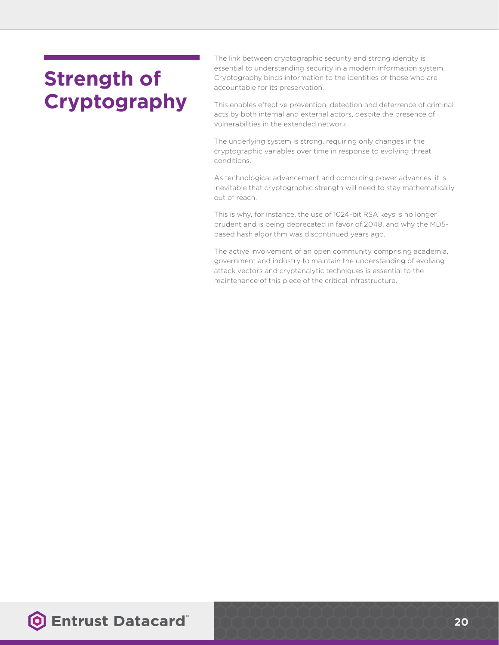# **Strength of Cryptography**

The link between cryptographic security and strong identity is essential to understanding security in a modern information system. Cryptography binds information to the identities of those who are accountable for its preservation.

This enables effective prevention, detection and deterrence of criminal acts by both internal and external actors, despite the presence of vulnerabilities in the extended network.

The underlying system is strong, requiring only changes in the cryptographic variables over time in response to evolving threat conditions.

As technological advancement and computing power advances, it is inevitable that cryptographic strength will need to stay mathematically out of reach.

This is why, for instance, the use of 1024-bit RSA keys is no longer prudent and is being deprecated in favor of 2048, and why the MD5 based hash algorithm was discontinued years ago.

The active involvement of an open community comprising academia, government and industry to maintain the understanding of evolving attack vectors and cryptanalytic techniques is essential to the maintenance of this piece of the critical infrastructure.

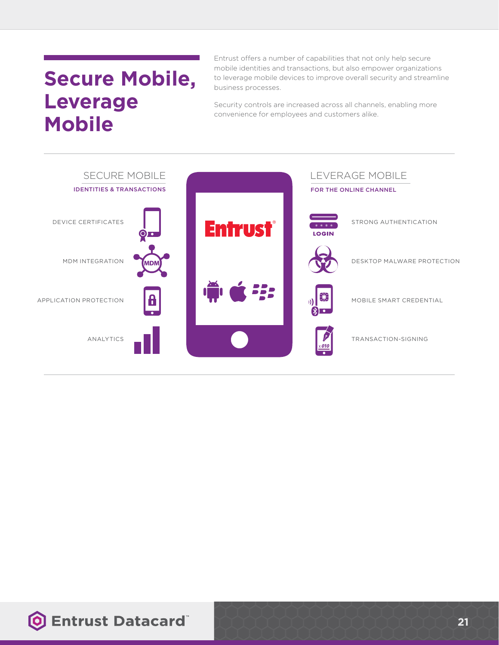# **Secure Mobile, Leverage Mobile**

Entrust offers a number of capabilities that not only help secure mobile identities and transactions, but also empower organizations to leverage mobile devices to improve overall security and streamline business processes.

Security controls are increased across all channels, enabling more convenience for employees and customers alike.



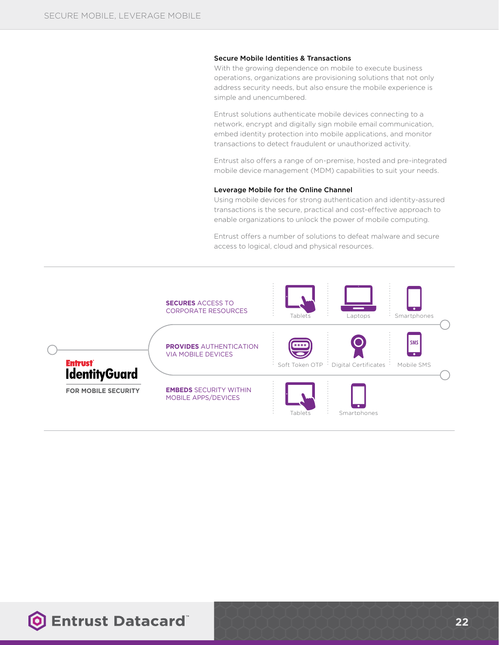#### Secure Mobile Identities & Transactions

With the growing dependence on mobile to execute business operations, organizations are provisioning solutions that not only address security needs, but also ensure the mobile experience is simple and unencumbered.

Entrust solutions authenticate mobile devices connecting to a network, encrypt and digitally sign mobile email communication, embed identity protection into mobile applications, and monitor transactions to detect fraudulent or unauthorized activity.

Entrust also offers a range of on-premise, hosted and pre-integrated mobile device management (MDM) capabilities to suit your needs.

#### Leverage Mobile for the Online Channel

Using mobile devices for strong authentication and identity-assured transactions is the secure, practical and cost-effective approach to enable organizations to unlock the power of mobile computing.

Entrust offers a number of solutions to defeat malware and secure access to logical, cloud and physical resources.



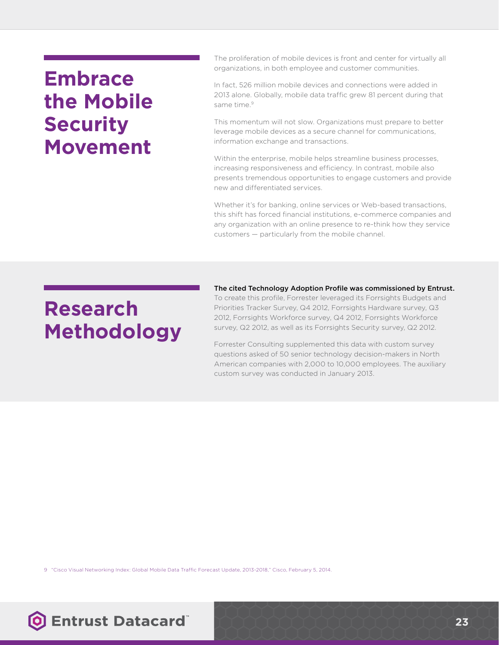### **Embrace the Mobile Security Movement**

The proliferation of mobile devices is front and center for virtually all organizations, in both employee and customer communities.

In fact, 526 million mobile devices and connections were added in 2013 alone. Globally, mobile data traffic grew 81 percent during that same time<sup>9</sup>

This momentum will not slow. Organizations must prepare to better leverage mobile devices as a secure channel for communications, information exchange and transactions.

Within the enterprise, mobile helps streamline business processes, increasing responsiveness and efficiency. In contrast, mobile also presents tremendous opportunities to engage customers and provide new and differentiated services.

Whether it's for banking, online services or Web-based transactions. this shift has forced financial institutions, e-commerce companies and any organization with an online presence to re-think how they service customers — particularly from the mobile channel.

# **Research Methodology**

The cited Technology Adoption Profile was commissioned by Entrust. To create this profile, Forrester leveraged its Forrsights Budgets and Priorities Tracker Survey, Q4 2012, Forrsights Hardware survey, Q3 2012, Forrsights Workforce survey, Q4 2012, Forrsights Workforce survey, Q2 2012, as well as its Forrsights Security survey, Q2 2012.

Forrester Consulting supplemented this data with custom survey questions asked of 50 senior technology decision-makers in North American companies with 2,000 to 10,000 employees. The auxiliary custom survey was conducted in January 2013.

9 "Cisco Visual Networking Index: Global Mobile Data Traffic Forecast Update, 2013-2018," Cisco, February 5, 2014.

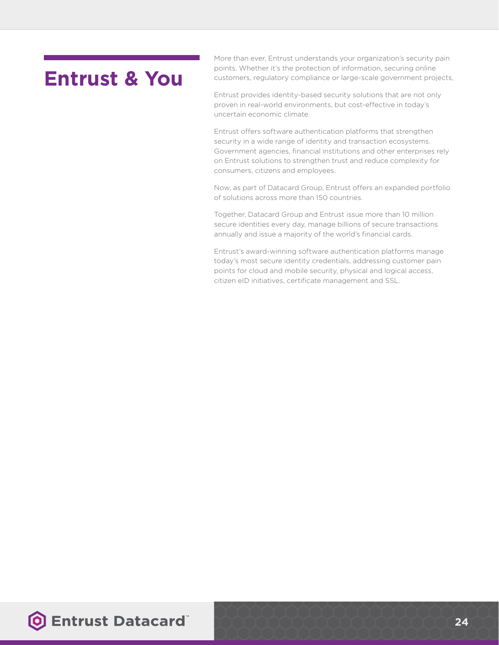### **Entrust & You**

More than ever, Entrust understands your organization's security pain points. Whether it's the protection of information, securing online customers, regulatory compliance or large-scale government projects,

Entrust provides identity-based security solutions that are not only proven in real-world environments, but cost-effective in today's uncertain economic climate.

Entrust offers software authentication platforms that strengthen security in a wide range of identity and transaction ecosystems. Government agencies, financial institutions and other enterprises rely on Entrust solutions to strengthen trust and reduce complexity for consumers, citizens and employees.

Now, as part of Datacard Group, Entrust offers an expanded portfolio of solutions across more than 150 countries.

Together, Datacard Group and Entrust issue more than 10 million secure identities every day, manage billions of secure transactions annually and issue a majority of the world's financial cards.

Entrust's award-winning software authentication platforms manage today's most secure identity credentials, addressing customer pain points for cloud and mobile security, physical and logical access, citizen eID initiatives, certificate management and SSL.